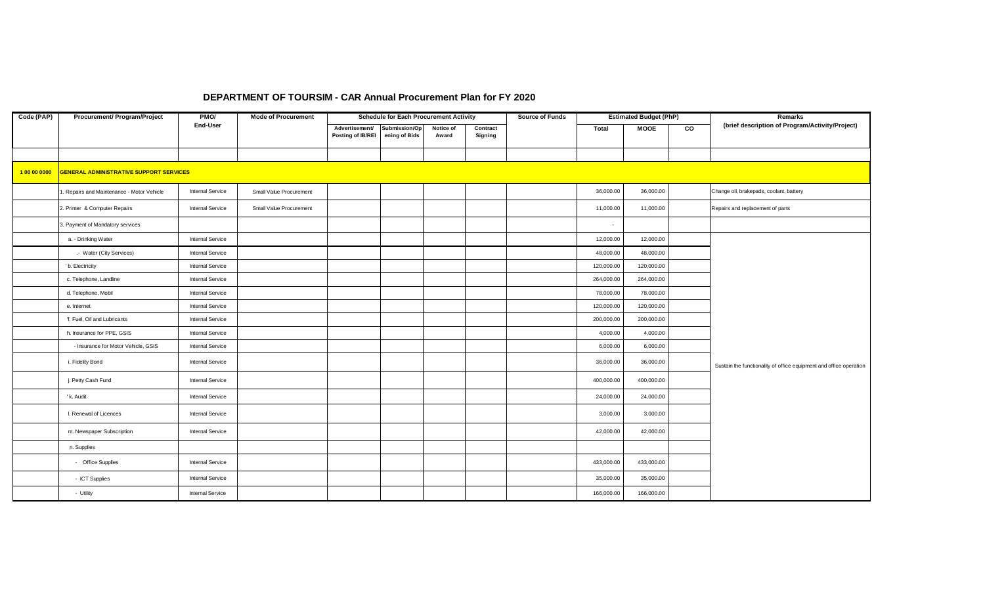## **DEPARTMENT OF TOURSIM - CAR Annual Procurement Plan for FY 2020**

| Code (PAP)   | <b>Procurement/ Program/Project</b>            | PM <sub>O</sub>         | <b>Mode of Procurement</b> |                                     | <b>Schedule for Each Procurement Activity</b> |                    |                     | <b>Source of Funds</b> |            | <b>Estimated Budget (PhP)</b> |                | Remarks                                                            |
|--------------|------------------------------------------------|-------------------------|----------------------------|-------------------------------------|-----------------------------------------------|--------------------|---------------------|------------------------|------------|-------------------------------|----------------|--------------------------------------------------------------------|
|              |                                                | End-User                |                            | Advertisement/<br>Posting of IB/REI | Submission/Op<br>ening of Bids                | Notice of<br>Award | Contract<br>Signing |                        | Total      | <b>MOOE</b>                   | $\overline{c}$ | (brief description of Program/Activity/Project)                    |
|              |                                                |                         |                            |                                     |                                               |                    |                     |                        |            |                               |                |                                                                    |
|              |                                                |                         |                            |                                     |                                               |                    |                     |                        |            |                               |                |                                                                    |
| 1 00 00 0000 | <b>GENERAL ADMINISTRATIVE SUPPORT SERVICES</b> |                         |                            |                                     |                                               |                    |                     |                        |            |                               |                |                                                                    |
|              | . Repairs and Maintenance - Motor Vehicle      | <b>Internal Service</b> | Small Value Procurement    |                                     |                                               |                    |                     |                        | 36,000.00  | 36,000.00                     |                | Change oil, brakepads, coolant, battery                            |
|              | 2. Printer & Computer Repairs                  | <b>Internal Service</b> | Small Value Procurement    |                                     |                                               |                    |                     |                        | 11,000.00  | 11,000.00                     |                | Repairs and replacement of parts                                   |
|              | 3. Payment of Mandatory services               |                         |                            |                                     |                                               |                    |                     |                        | $\sim$     |                               |                |                                                                    |
|              | a. - Drinking Water                            | <b>Internal Service</b> |                            |                                     |                                               |                    |                     |                        | 12,000.00  | 12,000.00                     |                |                                                                    |
|              | .- Water (City Services)                       | <b>Internal Service</b> |                            |                                     |                                               |                    |                     |                        | 48,000.00  | 48,000.00                     |                |                                                                    |
|              | ' b. Electricity                               | <b>Internal Service</b> |                            |                                     |                                               |                    |                     |                        | 120,000.00 | 120,000.00                    |                |                                                                    |
|              | c. Telephone, Landline                         | <b>Internal Service</b> |                            |                                     |                                               |                    |                     |                        | 264,000.00 | 264,000.00                    |                |                                                                    |
|              | d. Telephone, Mobil                            | <b>Internal Service</b> |                            |                                     |                                               |                    |                     |                        | 78,000.00  | 78,000.00                     |                |                                                                    |
|              | e. Internet                                    | <b>Internal Service</b> |                            |                                     |                                               |                    |                     |                        | 120,000.00 | 120,000.00                    |                |                                                                    |
|              | 'f. Fuel, Oil and Lubricants                   | <b>Internal Service</b> |                            |                                     |                                               |                    |                     |                        | 200,000.00 | 200,000.00                    |                |                                                                    |
|              | h. Insurance for PPE, GSIS                     | <b>Internal Service</b> |                            |                                     |                                               |                    |                     |                        | 4,000.00   | 4,000.00                      |                |                                                                    |
|              | - Insurance for Motor Vehicle, GSIS            | <b>Internal Service</b> |                            |                                     |                                               |                    |                     |                        | 6,000.00   | 6,000.00                      |                |                                                                    |
|              | i. Fidelity Bond                               | <b>Internal Service</b> |                            |                                     |                                               |                    |                     |                        | 36,000.00  | 36,000.00                     |                | Sustain the functionality of office equipment and office operation |
|              | j. Petty Cash Fund                             | <b>Internal Service</b> |                            |                                     |                                               |                    |                     |                        | 400,000.00 | 400,000.00                    |                |                                                                    |
|              | ' k. Audit                                     | <b>Internal Service</b> |                            |                                     |                                               |                    |                     |                        | 24,000.00  | 24,000.00                     |                |                                                                    |
|              | I. Renewal of Licences                         | <b>Internal Service</b> |                            |                                     |                                               |                    |                     |                        | 3,000.00   | 3,000.00                      |                |                                                                    |
|              | m. Newspaper Subscription                      | <b>Internal Service</b> |                            |                                     |                                               |                    |                     |                        | 42,000.00  | 42,000.00                     |                |                                                                    |
|              | n. Supplies                                    |                         |                            |                                     |                                               |                    |                     |                        |            |                               |                |                                                                    |
|              | - Office Supplies                              | <b>Internal Service</b> |                            |                                     |                                               |                    |                     |                        | 433,000.00 | 433,000.00                    |                |                                                                    |
|              | - ICT Supplies                                 | <b>Internal Service</b> |                            |                                     |                                               |                    |                     |                        | 35,000.00  | 35,000.00                     |                |                                                                    |
|              | - Utility                                      | <b>Internal Service</b> |                            |                                     |                                               |                    |                     |                        | 166,000.00 | 166,000.00                    |                |                                                                    |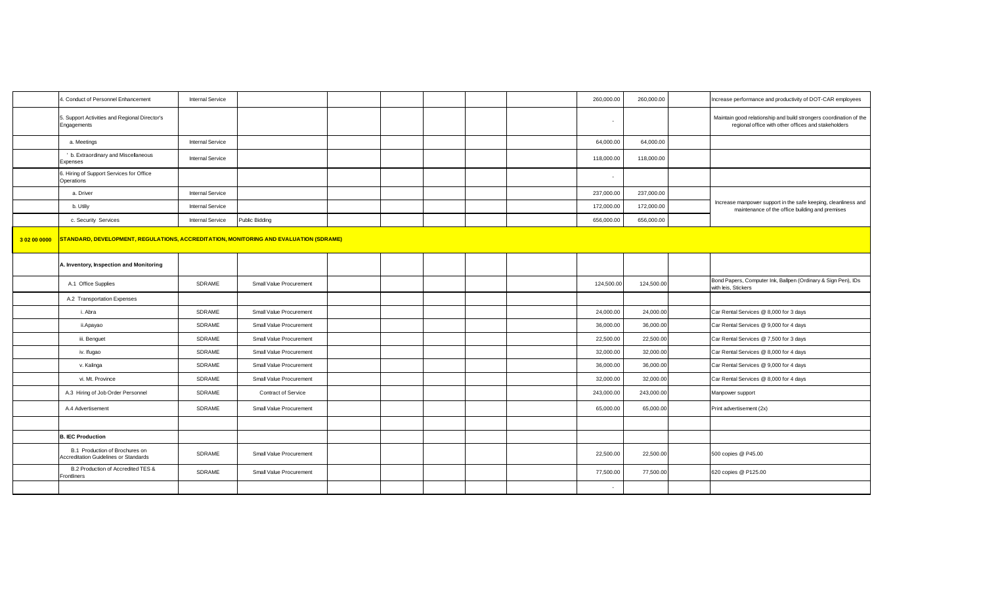|              | 4. Conduct of Personnel Enhancement                                                   | <b>Internal Service</b> |                         |  |  | 260,000.00 | 260,000.00 | Increase performance and productivity of DOT-CAR employees                                                                |
|--------------|---------------------------------------------------------------------------------------|-------------------------|-------------------------|--|--|------------|------------|---------------------------------------------------------------------------------------------------------------------------|
|              | 5. Support Activities and Regional Director's<br>Engagements                          |                         |                         |  |  |            |            | Maintain good relationship and build strongers coordination of the<br>regional office with other offices and stakeholders |
|              | a. Meetings                                                                           | <b>Internal Service</b> |                         |  |  | 64,000.00  | 64,000.00  |                                                                                                                           |
|              | b. Extraordinary and Miscellaneous<br>Expenses                                        | <b>Internal Service</b> |                         |  |  | 118,000.00 | 118,000.00 |                                                                                                                           |
|              | 6. Hiring of Support Services for Office<br>Operations                                |                         |                         |  |  |            |            |                                                                                                                           |
|              | a. Driver                                                                             | <b>Internal Service</b> |                         |  |  | 237,000.00 | 237,000.00 |                                                                                                                           |
|              | b. Utiliy                                                                             | <b>Internal Service</b> |                         |  |  | 172,000.00 | 172,000.00 | Increase manpower support in the safe keeping, cleanliness and<br>maintenance of the office building and premises         |
|              | c. Security Services                                                                  | <b>Internal Service</b> | Public Bidding          |  |  | 656,000.00 | 656,000.00 |                                                                                                                           |
| 3 02 00 0000 | STANDARD, DEVELOPMENT, REGULATIONS, ACCREDITATION, MONITORING AND EVALUATION (SDRAME) |                         |                         |  |  |            |            |                                                                                                                           |
|              | A. Inventory, Inspection and Monitoring                                               |                         |                         |  |  |            |            |                                                                                                                           |
|              | A.1 Office Supplies                                                                   | SDRAME                  | Small Value Procurement |  |  | 124,500.00 | 124,500.00 | Bond Papers, Computer Ink, Ballpen (Ordinary & Sign Pen), IDs<br>with leis, Stickers                                      |
|              | A.2 Transportation Expenses                                                           |                         |                         |  |  |            |            |                                                                                                                           |
|              | i. Abra                                                                               | <b>SDRAME</b>           | Small Value Procurement |  |  | 24,000.00  | 24,000.00  | Car Rental Services @ 8,000 for 3 days                                                                                    |
|              | ii.Apayao                                                                             | SDRAME                  | Small Value Procurement |  |  | 36,000.00  | 36,000.00  | Car Rental Services @ 9,000 for 4 days                                                                                    |
|              | iii. Benguet                                                                          | SDRAME                  | Small Value Procurement |  |  | 22,500.00  | 22,500.00  | Car Rental Services @ 7,500 for 3 days                                                                                    |
|              | iv. Ifugao                                                                            | <b>SDRAME</b>           | Small Value Procurement |  |  | 32,000.00  | 32,000.00  | Car Rental Services @ 8,000 for 4 days                                                                                    |
|              | v. Kalinga                                                                            | SDRAME                  | Small Value Procurement |  |  | 36,000.00  | 36,000.00  | Car Rental Services @ 9,000 for 4 days                                                                                    |
|              | vi. Mt. Province                                                                      | <b>SDRAME</b>           | Small Value Procurement |  |  | 32,000.00  | 32,000.00  | Car Rental Services @ 8,000 for 4 days                                                                                    |
|              | A.3 Hiring of Job Order Personnel                                                     | SDRAME                  | Contract of Service     |  |  | 243,000.00 | 243,000.00 | Manpower support                                                                                                          |
|              | A.4 Advertisement                                                                     | SDRAME                  | Small Value Procurement |  |  | 65,000.00  | 65,000.00  | Print advertisement (2x)                                                                                                  |
|              |                                                                                       |                         |                         |  |  |            |            |                                                                                                                           |
|              | <b>B. IEC Production</b>                                                              |                         |                         |  |  |            |            |                                                                                                                           |
|              | B.1 Production of Brochures on<br><b>Accreditation Guidelines or Standards</b>        | <b>SDRAME</b>           | Small Value Procurement |  |  | 22,500.00  | 22,500.00  | 500 copies @ P45.00                                                                                                       |
|              | B.2 Production of Accredited TES &<br>Frontliners                                     | SDRAME                  | Small Value Procurement |  |  | 77,500.00  | 77,500.00  | 620 copies @ P125.00                                                                                                      |
|              |                                                                                       |                         |                         |  |  | $\sim$     |            |                                                                                                                           |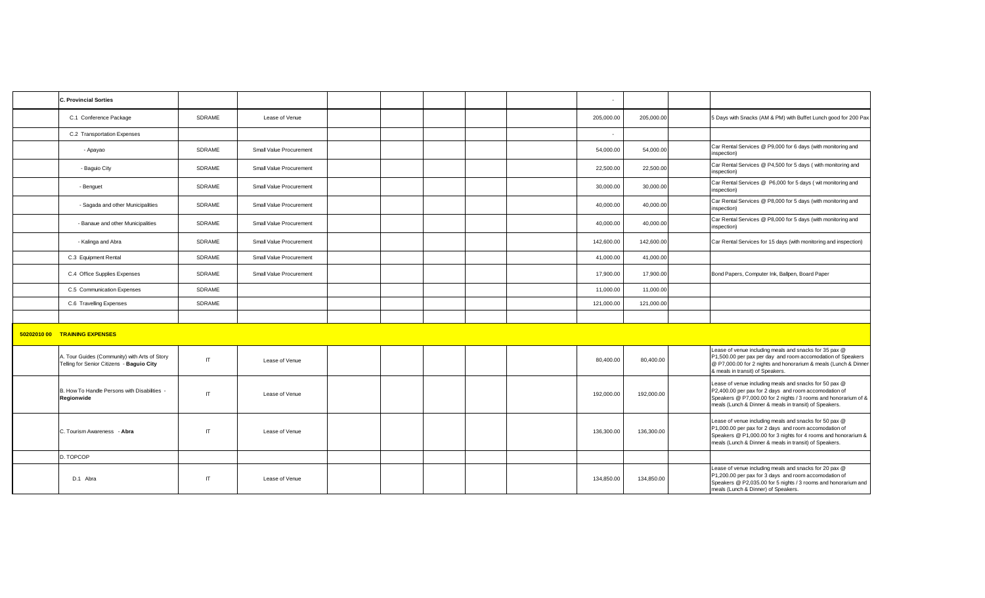| <b>C. Provincial Sorties</b>                                                               |              |                         |  |  | ٠          |            |                                                                                                                                                                                                                                              |
|--------------------------------------------------------------------------------------------|--------------|-------------------------|--|--|------------|------------|----------------------------------------------------------------------------------------------------------------------------------------------------------------------------------------------------------------------------------------------|
| C.1 Conference Package                                                                     | SDRAME       | Lease of Venue          |  |  | 205,000.00 | 205,000.00 | 5 Days with Snacks (AM & PM) with Buffet Lunch good for 200 Pax                                                                                                                                                                              |
| C.2 Transportation Expenses                                                                |              |                         |  |  | ×.         |            |                                                                                                                                                                                                                                              |
| - Apayao                                                                                   | SDRAME       | Small Value Procurement |  |  | 54,000.00  | 54,000.00  | Car Rental Services @ P9,000 for 6 days (with monitoring and<br>inspection)                                                                                                                                                                  |
| - Baguio City                                                                              | SDRAME       | Small Value Procurement |  |  | 22,500.00  | 22,500.00  | Car Rental Services @ P4,500 for 5 days (with monitoring and<br>inspection)                                                                                                                                                                  |
| - Benguet                                                                                  | SDRAME       | Small Value Procurement |  |  | 30,000.00  | 30,000.00  | Car Rental Services @ P6,000 for 5 days (wit monitoring and<br>inspection)                                                                                                                                                                   |
| - Sagada and other Municipalities                                                          | SDRAME       | Small Value Procurement |  |  | 40,000.00  | 40,000.00  | Car Rental Services @ P8,000 for 5 days (with monitoring and<br>inspection)                                                                                                                                                                  |
| - Banaue and other Municipalities                                                          | SDRAME       | Small Value Procurement |  |  | 40,000.00  | 40,000.00  | Car Rental Services @ P8,000 for 5 days (with monitoring and<br>inspection)                                                                                                                                                                  |
| - Kalinga and Abra                                                                         | SDRAME       | Small Value Procurement |  |  | 142,600.00 | 142,600.00 | Car Rental Services for 15 days (with monitoring and inspection)                                                                                                                                                                             |
| C.3 Equipment Rental                                                                       | SDRAME       | Small Value Procurement |  |  | 41,000.00  | 41,000.00  |                                                                                                                                                                                                                                              |
| C.4 Office Supplies Expenses                                                               | SDRAME       | Small Value Procurement |  |  | 17,900.00  | 17,900.00  | Bond Papers, Computer Ink, Ballpen, Board Paper                                                                                                                                                                                              |
| C.5 Communication Expenses                                                                 | SDRAME       |                         |  |  | 11,000.00  | 11,000.00  |                                                                                                                                                                                                                                              |
| C.6 Travelling Expenses                                                                    | SDRAME       |                         |  |  | 121,000.00 | 121,000.00 |                                                                                                                                                                                                                                              |
|                                                                                            |              |                         |  |  |            |            |                                                                                                                                                                                                                                              |
| 50202010 00 TRAINING EXPENSES                                                              |              |                         |  |  |            |            |                                                                                                                                                                                                                                              |
| A. Tour Guides (Community) with Arts of Story<br>Telling for Senior Citizens - Baguio City | $\mathsf{I}$ | Lease of Venue          |  |  | 80,400.00  | 80,400.00  | Lease of venue including meals and snacks for 35 pax @<br>P1,500.00 per pax per day and room accomodation of Speakers<br>@ P7,000.00 for 2 nights and honorarium & meals (Lunch & Dinner<br>& meals in transit) of Speakers.                 |
| B. How To Handle Persons with Disabilities -<br>Regionwide                                 | $\mathsf{I}$ | Lease of Venue          |  |  | 192,000.00 | 192,000.00 | Lease of venue including meals and snacks for 50 pax @<br>P2,400.00 per pax for 2 days and room accomodation of<br>Speakers @ P7,000.00 for 2 nights / 3 rooms and honorarium of &<br>meals (Lunch & Dinner & meals in transit) of Speakers. |
| C. Tourism Awareness - Abra                                                                | $\mathsf{I}$ | Lease of Venue          |  |  | 136,300.00 | 136,300.00 | Lease of venue including meals and snacks for 50 pax @<br>P1,000.00 per pax for 2 days and room accomodation of<br>Speakers @ P1,000.00 for 3 nights for 4 rooms and honorarium &<br>meals (Lunch & Dinner & meals in transit) of Speakers.  |
| D. TOPCOP                                                                                  |              |                         |  |  |            |            |                                                                                                                                                                                                                                              |
| D.1 Abra                                                                                   | $\mathsf{I}$ | Lease of Venue          |  |  | 134,850.00 | 134,850.00 | Lease of venue including meals and snacks for 20 pax @<br>P1,200.00 per pax for 3 days and room accomodation of<br>Speakers @ P2,035.00 for 5 nights / 3 rooms and honorarium and<br>meals (Lunch & Dinner) of Speakers.                     |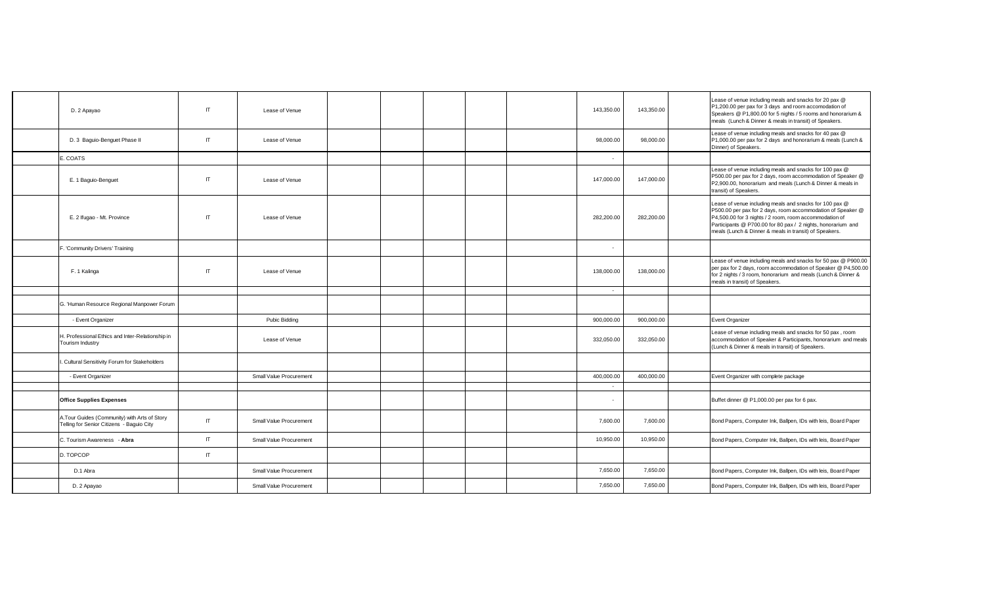| D. 2 Apayao                                                                                | IT                     | Lease of Venue          |  |  | 143,350.00 | 143,350.00 | Lease of venue including meals and snacks for 20 pax @<br>P1,200.00 per pax for 3 days and room accomodation of<br>Speakers @ P1,800.00 for 5 nights / 5 rooms and honorarium &<br>meals (Lunch & Dinner & meals in transit) of Speakers.                                                                  |
|--------------------------------------------------------------------------------------------|------------------------|-------------------------|--|--|------------|------------|------------------------------------------------------------------------------------------------------------------------------------------------------------------------------------------------------------------------------------------------------------------------------------------------------------|
| D. 3 Baguio-Benguet Phase II                                                               | $\mathsf{I}\mathsf{T}$ | Lease of Venue          |  |  | 98,000.00  | 98,000.00  | Lease of venue including meals and snacks for 40 pax @<br>P1,000.00 per pax for 2 days and honorarium & meals (Lunch &<br>Dinner) of Speakers.                                                                                                                                                             |
| E. COATS                                                                                   |                        |                         |  |  | $\sim$     |            |                                                                                                                                                                                                                                                                                                            |
| E. 1 Baguio-Benguet                                                                        | $\mathsf{I}$           | Lease of Venue          |  |  | 147,000.00 | 147,000.00 | Lease of venue including meals and snacks for 100 pax @<br>P500.00 per pax for 2 days, room accommodation of Speaker @<br>P2,900.00, honorarium and meals (Lunch & Dinner & meals in<br>transit) of Speakers.                                                                                              |
| E. 2 Ifugao - Mt. Province                                                                 | IT                     | Lease of Venue          |  |  | 282,200.00 | 282,200.00 | Lease of venue including meals and snacks for 100 pax @<br>P500.00 per pax for 2 days, room accommodation of Speaker @<br>P4,500.00 for 3 nights / 2 room, room accommodation of<br>Participants @ P700.00 for 80 pax / 2 nights, honorarium and<br>meals (Lunch & Dinner & meals in transit) of Speakers. |
| F. 'Community Drivers' Training                                                            |                        |                         |  |  | $\sim$     |            |                                                                                                                                                                                                                                                                                                            |
| F. 1 Kalinga                                                                               | $\mathsf{I}\mathsf{T}$ | Lease of Venue          |  |  | 138,000.00 | 138,000.00 | Lease of venue including meals and snacks for 50 pax @ P900.00<br>per pax for 2 days, room accommodation of Speaker @ P4,500.00<br>for 2 nights / 3 room, honorarium and meals (Lunch & Dinner &<br>meals in transit) of Speakers.                                                                         |
|                                                                                            |                        |                         |  |  | $\sim$     |            |                                                                                                                                                                                                                                                                                                            |
| G. 'Human Resource Regional Manpower Forum                                                 |                        |                         |  |  |            |            |                                                                                                                                                                                                                                                                                                            |
| - Event Organizer                                                                          |                        | Pubic Bidding           |  |  | 900,000.00 | 900,000.00 | Event Organizer                                                                                                                                                                                                                                                                                            |
| H. Professional Ethics and Inter-Relationship in<br>Tourism Industry                       |                        | Lease of Venue          |  |  | 332,050.00 | 332,050.00 | Lease of venue including meals and snacks for 50 pax, room<br>accommodation of Speaker & Participants, honorarium and meals<br>(Lunch & Dinner & meals in transit) of Speakers.                                                                                                                            |
| . Cultural Sensitivity Forum for Stakeholders                                              |                        |                         |  |  |            |            |                                                                                                                                                                                                                                                                                                            |
| - Event Organizer                                                                          |                        | Small Value Procurement |  |  | 400,000.00 | 400,000.00 | Event Organizer with complete package                                                                                                                                                                                                                                                                      |
|                                                                                            |                        |                         |  |  | $\sim$     |            |                                                                                                                                                                                                                                                                                                            |
| <b>Office Supplies Expenses</b>                                                            |                        |                         |  |  | $\sim$     |            | Buffet dinner @ P1,000.00 per pax for 6 pax.                                                                                                                                                                                                                                                               |
| A. Tour Guides (Community) with Arts of Story<br>Telling for Senior Citizens - Baguio City | $\mathsf{I}$           | Small Value Procurement |  |  | 7,600.00   | 7,600.00   | Bond Papers, Computer Ink, Ballpen, IDs with leis, Board Paper                                                                                                                                                                                                                                             |
| C. Tourism Awareness - Abra                                                                | $\mathsf{I}$           | Small Value Procurement |  |  | 10,950.00  | 10.950.00  | Bond Papers, Computer Ink, Ballpen, IDs with leis, Board Paper                                                                                                                                                                                                                                             |
| D. TOPCOP                                                                                  | $\sf IT$               |                         |  |  |            |            |                                                                                                                                                                                                                                                                                                            |
| D.1 Abra                                                                                   |                        | Small Value Procurement |  |  | 7,650.00   | 7,650.00   | Bond Papers, Computer Ink, Ballpen, IDs with leis, Board Paper                                                                                                                                                                                                                                             |
| D. 2 Apayao                                                                                |                        | Small Value Procurement |  |  | 7,650.00   | 7,650.00   | Bond Papers, Computer Ink, Ballpen, IDs with leis, Board Paper                                                                                                                                                                                                                                             |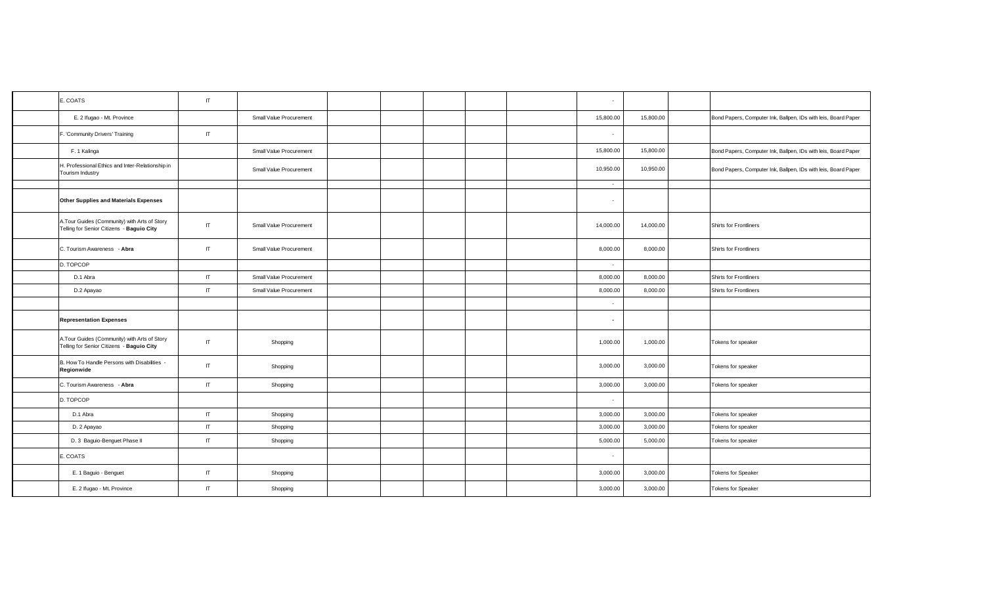| E. COATS                                                                                  | IT                     |                         |  |  | $\sim$     |           |                                                                |
|-------------------------------------------------------------------------------------------|------------------------|-------------------------|--|--|------------|-----------|----------------------------------------------------------------|
| E. 2 Ifugao - Mt. Province                                                                |                        | Small Value Procurement |  |  | 15,800.00  | 15,800.00 | Bond Papers, Computer Ink, Ballpen, IDs with leis, Board Paper |
| F. 'Community Drivers' Training                                                           | IT                     |                         |  |  | $\sim$ $-$ |           |                                                                |
| F. 1 Kalinga                                                                              |                        | Small Value Procurement |  |  | 15,800.00  | 15,800.00 | Bond Papers, Computer Ink, Ballpen, IDs with leis, Board Paper |
| H. Professional Ethics and Inter-Relationship in<br>Tourism Industry                      |                        | Small Value Procurement |  |  | 10,950.00  | 10,950.00 | Bond Papers, Computer Ink, Ballpen, IDs with leis, Board Paper |
|                                                                                           |                        |                         |  |  | $\sim$     |           |                                                                |
| Other Supplies and Materials Expenses                                                     |                        |                         |  |  | $\sim$ $-$ |           |                                                                |
| A.Tour Guides (Community) with Arts of Story<br>Telling for Senior Citizens - Baguio City | IT                     | Small Value Procurement |  |  | 14,000.00  | 14,000.00 | <b>Shirts for Frontliners</b>                                  |
| C. Tourism Awareness - Abra                                                               | IT                     | Small Value Procurement |  |  | 8,000.00   | 8,000.00  | Shirts for Frontliners                                         |
| D. TOPCOP                                                                                 |                        |                         |  |  | $\sim$     |           |                                                                |
| D.1 Abra                                                                                  | $\mathsf{I}$           | Small Value Procurement |  |  | 8,000.00   | 8,000.00  | <b>Shirts for Frontliners</b>                                  |
| D.2 Apayao                                                                                | IT                     | Small Value Procurement |  |  | 8,000.00   | 8,000.00  | Shirts for Frontliners                                         |
|                                                                                           |                        |                         |  |  | $\sim$     |           |                                                                |
| <b>Representation Expenses</b>                                                            |                        |                         |  |  | $\sim$     |           |                                                                |
| A.Tour Guides (Community) with Arts of Story<br>Telling for Senior Citizens - Baguio City | IT                     | Shopping                |  |  | 1,000.00   | 1,000.00  | Tokens for speaker                                             |
| B. How To Handle Persons with Disabilities -<br>Regionwide                                | IT.                    | Shopping                |  |  | 3,000.00   | 3,000.00  | Tokens for speaker                                             |
| C. Tourism Awareness - Abra                                                               | $\mathsf{I}$           | Shopping                |  |  | 3,000.00   | 3,000.00  | Tokens for speaker                                             |
| D. TOPCOP                                                                                 |                        |                         |  |  | $\sim$     |           |                                                                |
| D.1 Abra                                                                                  | $\mathsf{I}\mathsf{T}$ | Shopping                |  |  | 3,000.00   | 3,000.00  | Tokens for speaker                                             |
| D. 2 Apayao                                                                               | IT                     | Shopping                |  |  | 3,000.00   | 3,000.00  | Tokens for speaker                                             |
| D. 3 Baguio-Benguet Phase II                                                              | IT                     | Shopping                |  |  | 5,000.00   | 5,000.00  | Tokens for speaker                                             |
| E. COATS                                                                                  |                        |                         |  |  | $\sim$     |           |                                                                |
| E. 1 Baguio - Benguet                                                                     | IT                     | Shopping                |  |  | 3,000.00   | 3,000.00  | <b>Tokens for Speaker</b>                                      |
| E. 2 Ifugao - Mt. Province                                                                | $\mathsf{I}$           | Shopping                |  |  | 3,000.00   | 3,000.00  | <b>Tokens for Speaker</b>                                      |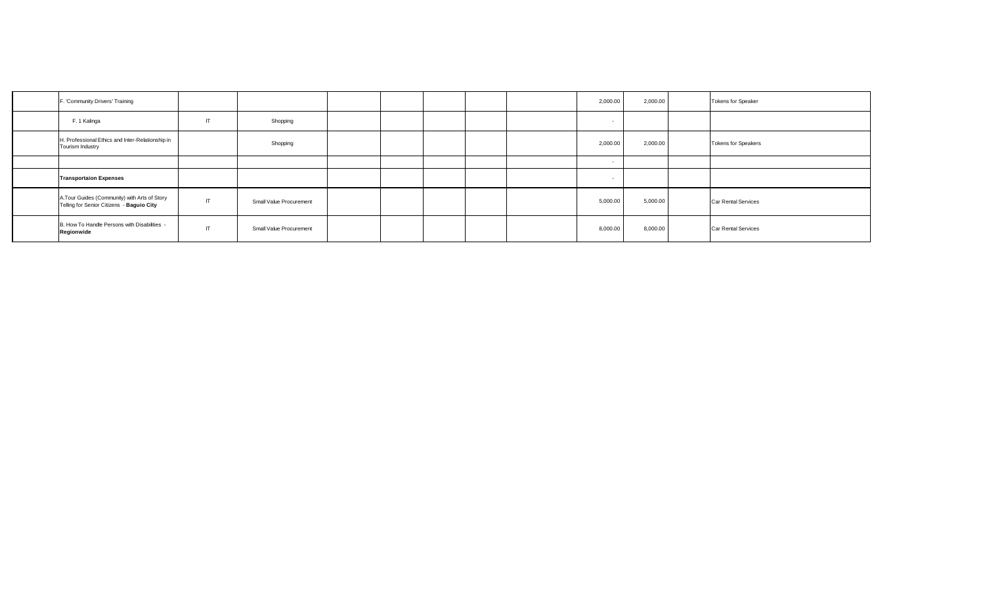| F. 'Community Drivers' Training                                                           |    |                         |  |  | 2,000.00                 | 2,000.00 | <b>Tokens for Speaker</b>  |
|-------------------------------------------------------------------------------------------|----|-------------------------|--|--|--------------------------|----------|----------------------------|
| F. 1 Kalinga<br>IT                                                                        |    | Shopping                |  |  | $\overline{\phantom{a}}$ |          |                            |
| H. Professional Ethics and Inter-Relationship in<br>Tourism Industry                      |    | Shopping                |  |  | 2,000.00                 | 2,000.00 | <b>Tokens for Speakers</b> |
|                                                                                           |    |                         |  |  | $\sim$                   |          |                            |
| <b>Transportaion Expenses</b>                                                             |    |                         |  |  |                          |          |                            |
| A.Tour Guides (Community) with Arts of Story<br>Telling for Senior Citizens - Baguio City | IT | Small Value Procurement |  |  | 5,000.00                 | 5,000.00 | <b>Car Rental Services</b> |
| B. How To Handle Persons with Disabilities -<br>Regionwide                                | IT | Small Value Procurement |  |  | 8,000.00                 | 8,000.00 | <b>Car Rental Services</b> |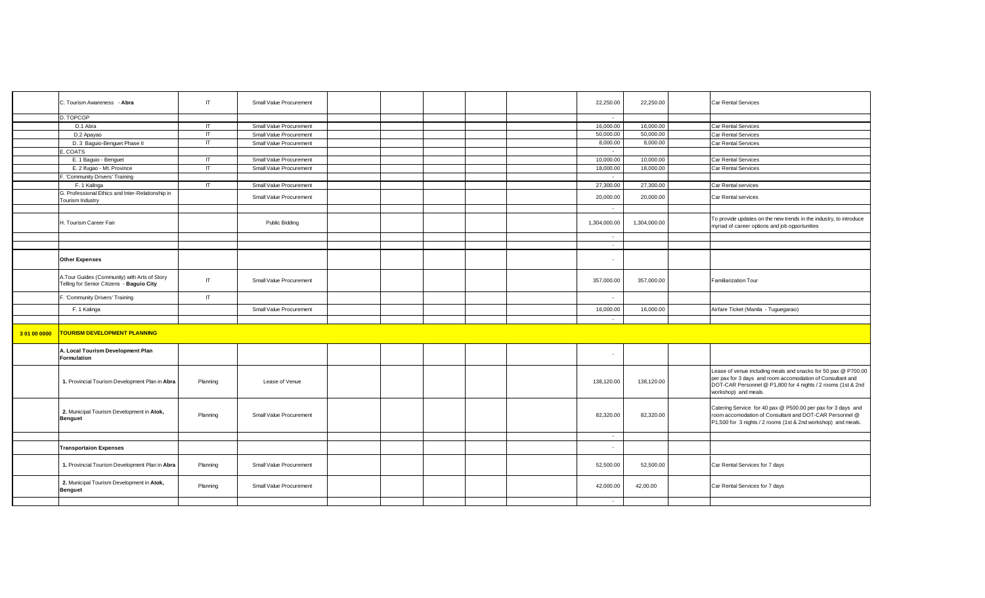|              | C. Tourism Awareness - Abra                                                               | IT.      | Small Value Procurement |  |  | 22,250.00    | 22,250.00    | <b>Car Rental Services</b>                                                                                                                                                                                           |
|--------------|-------------------------------------------------------------------------------------------|----------|-------------------------|--|--|--------------|--------------|----------------------------------------------------------------------------------------------------------------------------------------------------------------------------------------------------------------------|
|              | D. TOPCOP                                                                                 |          |                         |  |  | $\sim$       |              |                                                                                                                                                                                                                      |
|              | D.1 Abra                                                                                  | IT.      | Small Value Procurement |  |  | 16,000.00    | 16,000.00    | <b>Car Rental Services</b>                                                                                                                                                                                           |
|              | D.2 Apayao                                                                                | IT.      | Small Value Procurement |  |  | 50,000.00    | 50,000.00    | Car Rental Services                                                                                                                                                                                                  |
|              | D. 3 Baguio-Benguet Phase II                                                              | IT.      | Small Value Procurement |  |  | 8,000.00     | 8,000.00     | Car Rental Services                                                                                                                                                                                                  |
|              | E. COATS                                                                                  |          |                         |  |  | $\sim$       |              |                                                                                                                                                                                                                      |
|              | E. 1 Baguio - Benguet                                                                     | IT       | Small Value Procurement |  |  | 10,000.00    | 10,000.00    | <b>Car Rental Services</b>                                                                                                                                                                                           |
|              | E. 2 Ifugao - Mt. Province                                                                | IT       | Small Value Procurement |  |  | 18,000.00    | 18,000.00    | Car Rental Services                                                                                                                                                                                                  |
|              | -. 'Community Drivers' Training                                                           |          |                         |  |  | $\sim$       |              |                                                                                                                                                                                                                      |
|              | F. 1 Kalinga                                                                              | IT       | Small Value Procurement |  |  | 27,300.00    | 27,300.00    | Car Rental services                                                                                                                                                                                                  |
|              | G. Professional Ethics and Inter-Relationship in                                          |          |                         |  |  |              |              |                                                                                                                                                                                                                      |
|              | Tourism Industry                                                                          |          | Small Value Procurement |  |  | 20,000.00    | 20,000.00    | Car Rental services                                                                                                                                                                                                  |
|              |                                                                                           |          |                         |  |  | $\sim$       |              |                                                                                                                                                                                                                      |
|              | H. Tourism Career Fair                                                                    |          | Public Bidding          |  |  | 1,304,000.00 | 1,304,000.00 | To provide updates on the new trends in the industry, to introduce<br>myriad of career options and job opportunities                                                                                                 |
|              |                                                                                           |          |                         |  |  | $\sim$       |              |                                                                                                                                                                                                                      |
|              |                                                                                           |          |                         |  |  | $\sim$       |              |                                                                                                                                                                                                                      |
|              | <b>Other Expenses</b>                                                                     |          |                         |  |  | $\sim$       |              |                                                                                                                                                                                                                      |
|              | A.Tour Guides (Community) with Arts of Story<br>Telling for Senior Citizens - Baguio City | IT.      | Small Value Procurement |  |  | 357,000.00   | 357,000.00   | <b>Familiarization Tour</b>                                                                                                                                                                                          |
|              | <b>Community Drivers' Training</b>                                                        | IT       |                         |  |  | $\sim$       |              |                                                                                                                                                                                                                      |
|              | F. 1 Kalinga                                                                              |          | Small Value Procurement |  |  | 16,000.00    | 16,000.00    | Airfare Ticket (Manila - Tuguegarao)                                                                                                                                                                                 |
|              |                                                                                           |          |                         |  |  | $\sim$       |              |                                                                                                                                                                                                                      |
| 3 01 00 0000 | <b>TOURISM DEVELOPMENT PLANNING</b>                                                       |          |                         |  |  |              |              |                                                                                                                                                                                                                      |
|              | A. Local Tourism Development Plan<br>Formulation                                          |          |                         |  |  | $\sim$       |              |                                                                                                                                                                                                                      |
|              | 1. Provincial Tourism Development Plan in Abra                                            | Planning | Lease of Venue          |  |  | 138,120.00   | 138,120.00   | Lease of venue including meals and snacks for 50 pax @ P700.00<br>per pax for 3 days and room accomodation of Consultant and<br>DOT-CAR Personnel @ P1,800 for 4 nights / 2 rooms (1st & 2nd<br>workshop) and meals. |
|              | 2. Municipal Tourism Development in Atok,<br><b>Benguet</b>                               | Planning | Small Value Procurement |  |  | 82,320.00    | 82,320.00    | Catering Service for 40 pax @ P500.00 per pax for 3 days and<br>room accomodation of Consultant and DOT-CAR Personnel @<br>P1,500 for 3 nights / 2 rooms (1st & 2nd workshop) and meals.                             |
|              |                                                                                           |          |                         |  |  | $\sim$       |              |                                                                                                                                                                                                                      |
|              | <b>Transportaion Expenses</b>                                                             |          |                         |  |  | ٠            |              |                                                                                                                                                                                                                      |
|              | 1. Provincial Tourism Development Plan in Abra                                            | Planning | Small Value Procurement |  |  | 52,500.00    | 52,500.00    | Car Rental Services for 7 days                                                                                                                                                                                       |
|              | 2. Municipal Tourism Development in Atok,<br>Benguet                                      | Planning | Small Value Procurement |  |  | 42,000.00    | 42,00.00     | Car Rental Services for 7 days                                                                                                                                                                                       |
|              |                                                                                           |          |                         |  |  | $\sim$       |              |                                                                                                                                                                                                                      |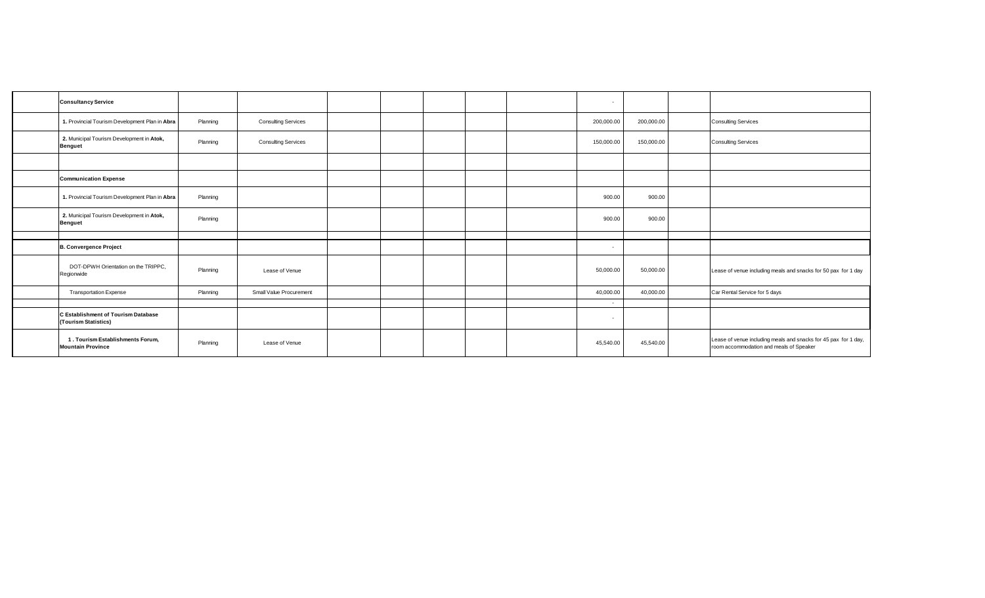| <b>Consultancy Service</b>                                   |          |                            |  |  | $\sim$     |            |                                                                                                            |
|--------------------------------------------------------------|----------|----------------------------|--|--|------------|------------|------------------------------------------------------------------------------------------------------------|
| 1. Provincial Tourism Development Plan in Abra               | Planning | <b>Consulting Services</b> |  |  | 200,000.00 | 200,000.00 | <b>Consulting Services</b>                                                                                 |
| 2. Municipal Tourism Development in Atok,<br><b>Benguet</b>  | Planning | <b>Consulting Services</b> |  |  | 150,000.00 | 150,000.00 | <b>Consulting Services</b>                                                                                 |
|                                                              |          |                            |  |  |            |            |                                                                                                            |
| <b>Communication Expense</b>                                 |          |                            |  |  |            |            |                                                                                                            |
| 1. Provincial Tourism Development Plan in Abra               | Planning |                            |  |  | 900.00     | 900.00     |                                                                                                            |
| 2. Municipal Tourism Development in Atok,<br><b>Benguet</b>  | Planning |                            |  |  | 900.00     | 900.00     |                                                                                                            |
|                                                              |          |                            |  |  |            |            |                                                                                                            |
| <b>B. Convergence Project</b>                                |          |                            |  |  | $\sim$     |            |                                                                                                            |
| DOT-DPWH Orientation on the TRIPPC,<br>Regionwide            | Planning | Lease of Venue             |  |  | 50,000.00  | 50,000.00  | Lease of venue including meals and snacks for 50 pax for 1 day                                             |
| <b>Transportation Expense</b>                                | Planning | Small Value Procurement    |  |  | 40,000.00  | 40,000.00  | Car Rental Service for 5 days                                                                              |
|                                                              |          |                            |  |  |            |            |                                                                                                            |
| C Establishment of Tourism Database<br>(Tourism Statistics)  |          |                            |  |  | $\sim$     |            |                                                                                                            |
| 1. Tourism Establishments Forum.<br><b>Mountain Province</b> | Planning | Lease of Venue             |  |  | 45,540.00  | 45,540.00  | Lease of venue including meals and snacks for 45 pax for 1 day,<br>room accommodation and meals of Speaker |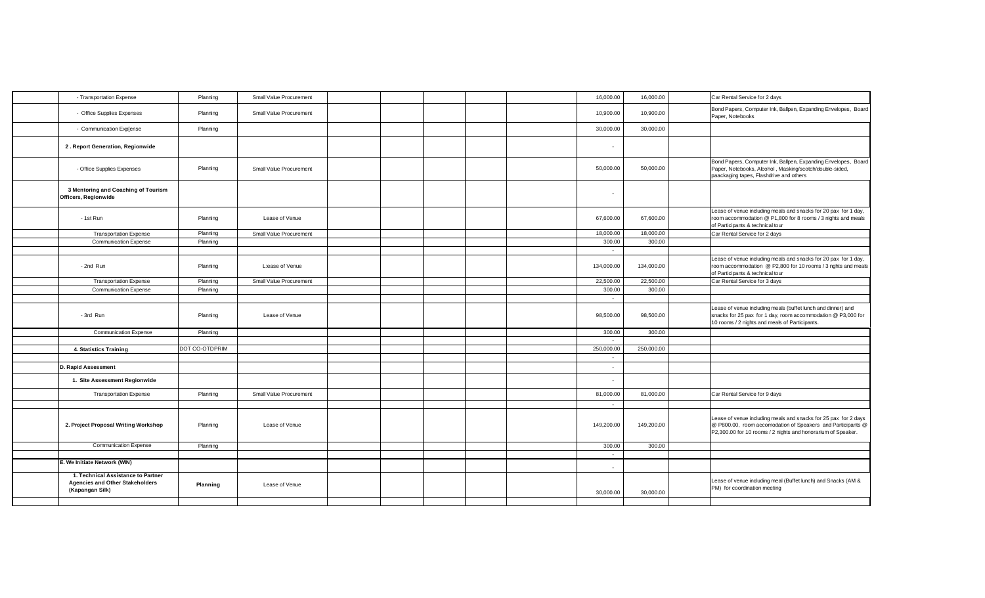| - Transportation Expense                                                                        | Planning       | Small Value Procurement |  |  | 16,000.00  | 16,000.00  | Car Rental Service for 2 days                                                                                                                                                                  |
|-------------------------------------------------------------------------------------------------|----------------|-------------------------|--|--|------------|------------|------------------------------------------------------------------------------------------------------------------------------------------------------------------------------------------------|
| - Office Supplies Expenses                                                                      | Planning       | Small Value Procurement |  |  | 10,900.00  | 10,900.00  | Bond Papers, Computer Ink, Ballpen, Expanding Envelopes, Board<br>Paper, Notebooks                                                                                                             |
| - Communication Exp[ense                                                                        | Planning       |                         |  |  | 30,000.00  | 30,000.00  |                                                                                                                                                                                                |
| 2. Report Generation, Regionwide                                                                |                |                         |  |  | $\sim$     |            |                                                                                                                                                                                                |
| - Office Supplies Expenses                                                                      | Planning       | Small Value Procurement |  |  | 50,000.00  | 50,000.00  | Bond Papers, Computer Ink, Ballpen, Expanding Envelopes, Board<br>Paper, Notebooks, Alcohol, Masking/scotch/double-sided,<br>paackaging tapes, Flashdrive and others                           |
| 3 Mentoring and Coaching of Tourism<br>Officers, Regionwide                                     |                |                         |  |  | $\sim$     |            |                                                                                                                                                                                                |
| - 1st Run                                                                                       | Planning       | Lease of Venue          |  |  | 67,600.00  | 67,600.00  | Lease of venue including meals and snacks for 20 pax for 1 day,<br>room accommodation @ P1,800 for 8 rooms / 3 nights and meals<br>of Participants & technical tour                            |
| <b>Transportation Expense</b>                                                                   | Planning       | Small Value Procurement |  |  | 18,000.00  | 18,000.00  | Car Rental Service for 2 days                                                                                                                                                                  |
| <b>Communication Expense</b>                                                                    | Planning       |                         |  |  | 300.00     | 300.00     |                                                                                                                                                                                                |
|                                                                                                 |                |                         |  |  | $\sim$     |            |                                                                                                                                                                                                |
| - 2nd Run                                                                                       | Planning       | L:ease of Venue         |  |  | 134,000.00 | 134,000.00 | Lease of venue including meals and snacks for 20 pax for 1 day,<br>room accommodation @ P2,800 for 10 rooms / 3 nghts and meals<br>of Participants & technical tour                            |
| <b>Transportation Expense</b>                                                                   | Planning       | Small Value Procurement |  |  | 22,500.00  | 22,500.00  | Car Rental Service for 3 days                                                                                                                                                                  |
| <b>Communication Expense</b>                                                                    | Planning       |                         |  |  | 300.00     | 300.00     |                                                                                                                                                                                                |
|                                                                                                 |                |                         |  |  | $\sim$     |            |                                                                                                                                                                                                |
| - 3rd Run                                                                                       | Planning       | Lease of Venue          |  |  | 98,500.00  | 98,500.00  | Lease of venue including meals (buffet lunch and dinner) and<br>snacks for 25 pax for 1 day, room accommodation @ P3,000 for<br>10 rooms / 2 nights and meals of Participants.                 |
| <b>Communication Expense</b>                                                                    | Planning       |                         |  |  | 300.00     | 300.00     |                                                                                                                                                                                                |
|                                                                                                 |                |                         |  |  | $\sim$     |            |                                                                                                                                                                                                |
| 4. Statistics Training                                                                          | DOT CO-OTDPRIM |                         |  |  | 250,000.00 | 250,000.00 |                                                                                                                                                                                                |
|                                                                                                 |                |                         |  |  | $\sim$ $-$ |            |                                                                                                                                                                                                |
| <b>D. Rapid Assessment</b>                                                                      |                |                         |  |  | $\sim$     |            |                                                                                                                                                                                                |
| 1. Site Assessment Regionwide                                                                   |                |                         |  |  | ÷.         |            |                                                                                                                                                                                                |
| <b>Transportation Expense</b>                                                                   | Planning       | Small Value Procurement |  |  | 81,000.00  | 81,000.00  | Car Rental Service for 9 days                                                                                                                                                                  |
|                                                                                                 |                |                         |  |  | $\sim$     |            |                                                                                                                                                                                                |
| 2. Project Proposal Writing Workshop                                                            | Planning       | Lease of Venue          |  |  | 149,200.00 | 149,200.00 | Lease of venue including meals and snacks for 25 pax for 2 days<br>@ P800.00, room accomodation of Speakers and Participants @<br>P2,300.00 for 10 rooms / 2 nights and honorarium of Speaker. |
| <b>Communication Expense</b>                                                                    | Planning       |                         |  |  | 300.00     | 300.00     |                                                                                                                                                                                                |
|                                                                                                 |                |                         |  |  | $\sim$     |            |                                                                                                                                                                                                |
| We Initiate Network (WIN)                                                                       |                |                         |  |  | $\sim$     |            |                                                                                                                                                                                                |
| 1. Technical Assistance to Partner<br><b>Agencies and Other Stakeholders</b><br>(Kapangan Silk) | Planning       | Lease of Venue          |  |  | 30,000.00  | 30,000.00  | Lease of venue including meal (Buffet lunch) and Snacks (AM &<br>PM) for coordination meeting                                                                                                  |
|                                                                                                 |                |                         |  |  |            |            |                                                                                                                                                                                                |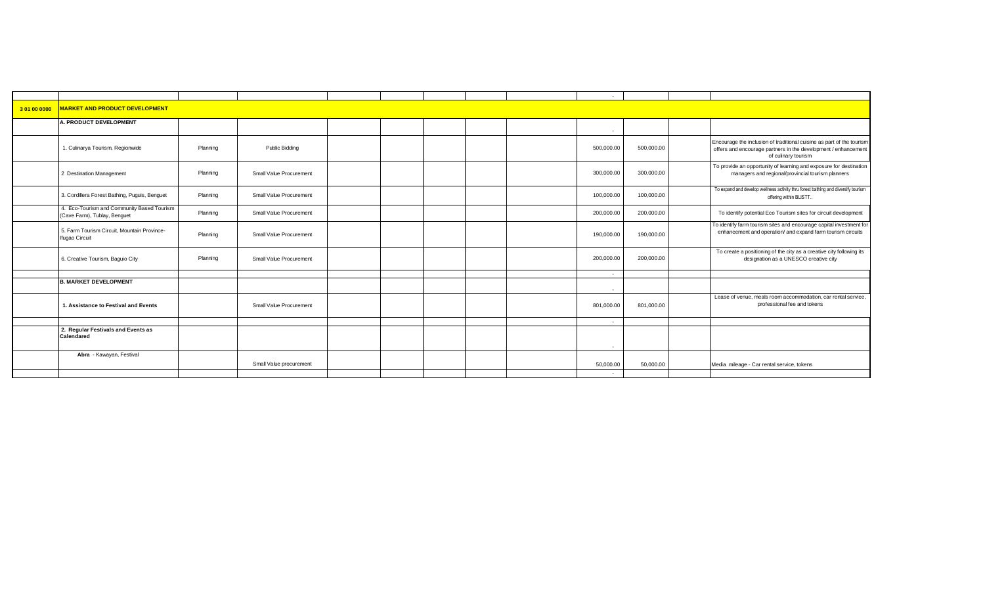| 301000000 | <b>MARKET AND PRODUCT DEVELOPMENT</b>                                      |          |                         |  |  |            |            |                                                                                                                                                                |
|-----------|----------------------------------------------------------------------------|----------|-------------------------|--|--|------------|------------|----------------------------------------------------------------------------------------------------------------------------------------------------------------|
|           | A. PRODUCT DEVELOPMENT                                                     |          |                         |  |  | $\sim$     |            |                                                                                                                                                                |
|           | 1. Culinarya Tourism, Regionwide                                           | Planning | <b>Public Bidding</b>   |  |  | 500,000.00 | 500,000.00 | Encourage the inclusion of traditional cuisine as part of the tourism<br>offers and encourage partners in the development / enhancement<br>of culinary tourism |
|           | 2 Destination Management                                                   | Planning | Small Value Procurement |  |  | 300,000.00 | 300,000.00 | To provide an opportunity of learning and exposure for destination<br>managers and regional/provincial tourism planners                                        |
|           | 3. Cordillera Forest Bathing, Puguis, Benguet                              | Planning | Small Value Procurement |  |  | 100,000.00 | 100,000.00 | To expand and develop wellness activity thru forest bathing and diversify tourism<br>offering within BLISTT                                                    |
|           | 4. Eco-Tourism and Community Based Tourism<br>(Cave Farm), Tublay, Benguet | Planning | Small Value Procurement |  |  | 200,000.00 | 200,000.00 | To identify potential Eco Tourism sites for circuit development                                                                                                |
|           | 5. Farm Tourism Circuit, Mountain Province-<br><b>Ifugao Circuit</b>       | Planning | Small Value Procurement |  |  | 190,000.00 | 190,000.00 | To identify farm tourism sites and encourage capital investment for<br>enhancement and operation/ and expand farm tourism circuits                             |
|           | 6. Creative Tourism, Baguio City                                           | Planning | Small Value Procurement |  |  | 200,000.00 | 200,000.00 | To create a positioning of the city as a creative city following its<br>designation as a UNESCO creative city                                                  |
|           |                                                                            |          |                         |  |  | $\sim$     |            |                                                                                                                                                                |
|           | <b>B. MARKET DEVELOPMENT</b>                                               |          |                         |  |  | $\sim$     |            |                                                                                                                                                                |
|           | 1. Assistance to Festival and Events                                       |          | Small Value Procurement |  |  | 801,000.00 | 801,000.00 | Lease of venue, meals room accommodation, car rental service,<br>professional fee and tokens                                                                   |
|           |                                                                            |          |                         |  |  | $\sim$     |            |                                                                                                                                                                |
|           | 2. Regular Festivals and Events as<br>Calendared                           |          |                         |  |  | $\sim$     |            |                                                                                                                                                                |
|           | Abra - Kawayan, Festival                                                   |          | Small Value procurement |  |  | 50,000.00  | 50,000.00  | Media mileage - Car rental service, tokens                                                                                                                     |
|           |                                                                            |          |                         |  |  | $\sim$     |            |                                                                                                                                                                |
|           |                                                                            |          |                         |  |  |            |            |                                                                                                                                                                |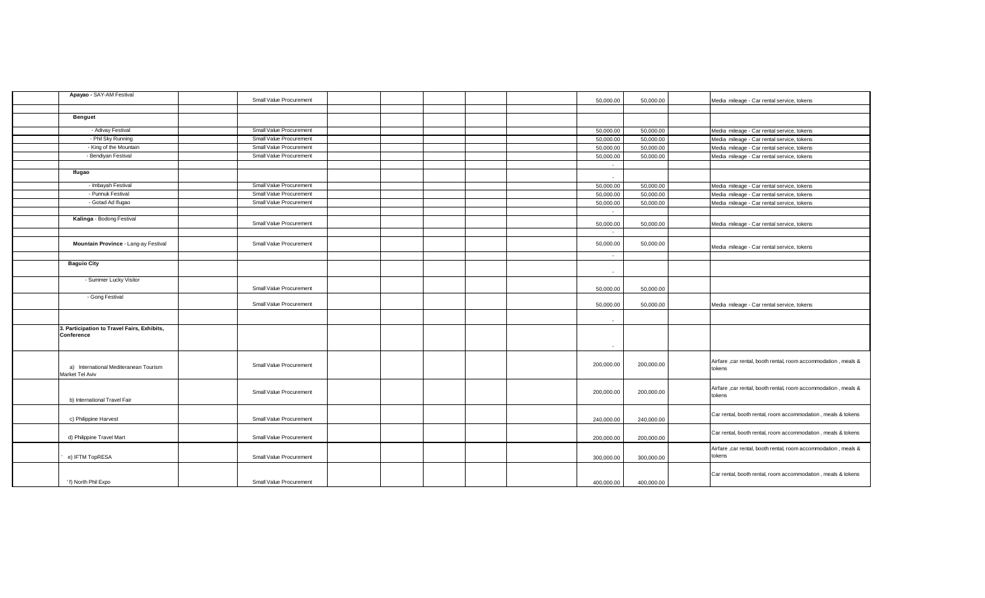| Apayao - SAY-AM Festival                                  | Small Value Procurement |  |  | 50,000.00  | 50,000.00  | Media mileage - Car rental service, tokens                                |
|-----------------------------------------------------------|-------------------------|--|--|------------|------------|---------------------------------------------------------------------------|
|                                                           |                         |  |  |            |            |                                                                           |
| <b>Benguet</b>                                            |                         |  |  |            |            |                                                                           |
| - Adivay Festival                                         | Small Value Procurement |  |  | 50,000.00  | 50,000.00  | Media mileage - Car rental service, tokens                                |
| - Phil Sky Running                                        | Small Value Procurement |  |  | 50,000.00  | 50,000.00  | Media mileage - Car rental service, tokens                                |
| - King of the Mountain                                    | Small Value Procurement |  |  | 50,000.00  | 50,000.00  | Media mileage - Car rental service, tokens                                |
| - Bendiyan Festival                                       | Small Value Procurement |  |  | 50,000.00  | 50,000.00  | Media mileage - Car rental service, tokens                                |
|                                                           |                         |  |  | $\sim$     |            |                                                                           |
| lfugao                                                    |                         |  |  | $\sim$     |            |                                                                           |
| - Imbayah Festival                                        | Small Value Procurement |  |  | 50,000.00  | 50,000.00  | Media mileage - Car rental service, tokens                                |
| - Punnuk Festival                                         | Small Value Procurement |  |  | 50,000.00  | 50,000.00  | Media mileage - Car rental service, tokens                                |
| - Gotad Ad Ifugao                                         | Small Value Procurement |  |  | 50,000.00  | 50,000.00  | Media mileage - Car rental service, tokens                                |
|                                                           |                         |  |  | $\sim$     |            |                                                                           |
| Kalinga - Bodong Festival                                 | Small Value Procurement |  |  | 50,000.00  | 50,000.00  | Media mileage - Car rental service, tokens                                |
|                                                           |                         |  |  | $\sim$     |            |                                                                           |
| Mountain Province - Lang-ay Festival                      | Small Value Procurement |  |  | 50,000.00  | 50,000.00  | Media mileage - Car rental service, tokens                                |
|                                                           |                         |  |  | $\sim$     |            |                                                                           |
| <b>Baguio City</b>                                        |                         |  |  | $\sim$     |            |                                                                           |
| - Summer Lucky Visitor                                    | Small Value Procurement |  |  | 50,000.00  | 50,000.00  |                                                                           |
| - Gong Festival                                           | Small Value Procurement |  |  | 50,000.00  | 50,000.00  | Media mileage - Car rental service, tokens                                |
|                                                           |                         |  |  | $\sim$     |            |                                                                           |
| 3. Participation to Travel Fairs, Exhibits,<br>Conference |                         |  |  | $\sim$     |            |                                                                           |
| a) International Mediteranean Tourism<br>Market Tel Aviv  | Small Value Procurement |  |  | 200,000.00 | 200,000.00 | Airfare , car rental, booth rental, room accommodation, meals &<br>tokens |
| b) International Travel Fair                              | Small Value Procurement |  |  | 200,000.00 | 200,000.00 | Airfare , car rental, booth rental, room accommodation, meals &<br>tokens |
| c) Philippine Harvest                                     | Small Value Procurement |  |  | 240,000.00 | 240,000.00 | Car rental, booth rental, room accommodation, meals & tokens              |
| d) Philippine Travel Mart                                 | Small Value Procurement |  |  | 200,000.00 | 200,000.00 | Car rental, booth rental, room accommodation, meals & tokens              |
| e) IFTM TopRESA                                           | Small Value Procurement |  |  | 300,000.00 | 300,000.00 | Airfare , car rental, booth rental, room accommodation, meals &<br>tokens |
| ' f) North Phil Expo                                      | Small Value Procurement |  |  | 400,000.00 | 400.000.00 | Car rental, booth rental, room accommodation, meals & tokens              |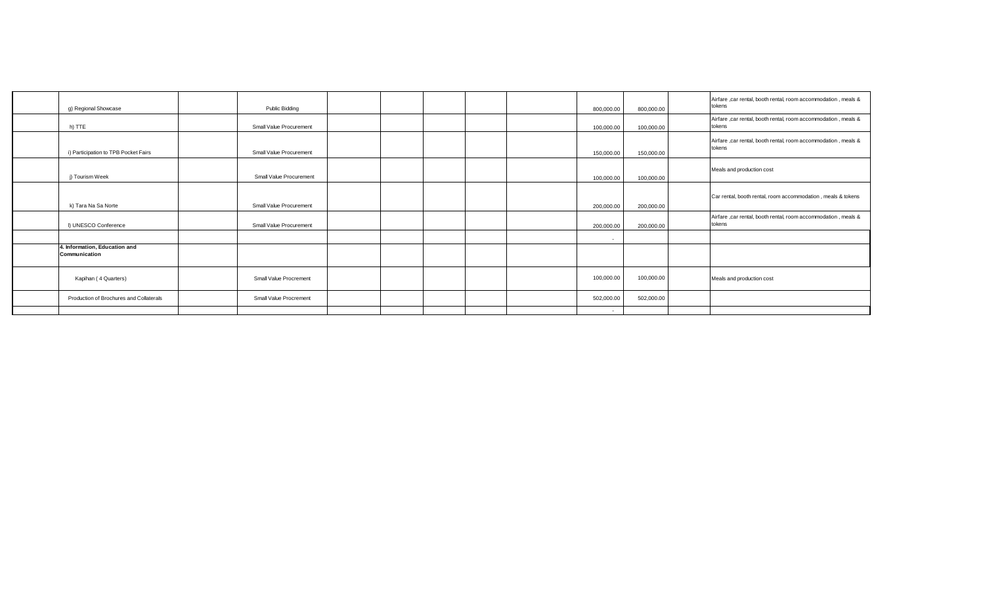| g) Regional Showcase                           | Public Bidding          |  |  | 800,000.00 | 800,000.00 | Airfare ,car rental, booth rental, room accommodation, meals &<br>tokens  |
|------------------------------------------------|-------------------------|--|--|------------|------------|---------------------------------------------------------------------------|
| h) TTE                                         | Small Value Procurement |  |  | 100,000.00 | 100,000.00 | Airfare ,car rental, booth rental, room accommodation, meals &<br>tokens  |
| i) Participation to TPB Pocket Fairs           | Small Value Procurement |  |  | 150,000.00 | 150,000.00 | Airfare , car rental, booth rental, room accommodation, meals &<br>tokens |
| j) Tourism Week                                | Small Value Procurement |  |  | 100,000.00 | 100,000.00 | Meals and production cost                                                 |
| k) Tara Na Sa Norte                            | Small Value Procurement |  |  | 200,000.00 | 200,000.00 | Car rental, booth rental, room accommodation, meals & tokens              |
| I) UNESCO Conference                           | Small Value Procurement |  |  | 200,000.00 | 200,000.00 | Airfare ,car rental, booth rental, room accommodation, meals &<br>tokens  |
|                                                |                         |  |  | $\sim$     |            |                                                                           |
| 4. Information, Education and<br>Communication |                         |  |  |            |            |                                                                           |
| Kapihan (4 Quarters)                           | Small Value Procrement  |  |  | 100,000.00 | 100,000.00 | Meals and production cost                                                 |
| Production of Brochures and Collaterals        | Small Value Procrement  |  |  | 502,000.00 | 502,000.00 |                                                                           |
|                                                |                         |  |  | $\sim$     |            |                                                                           |